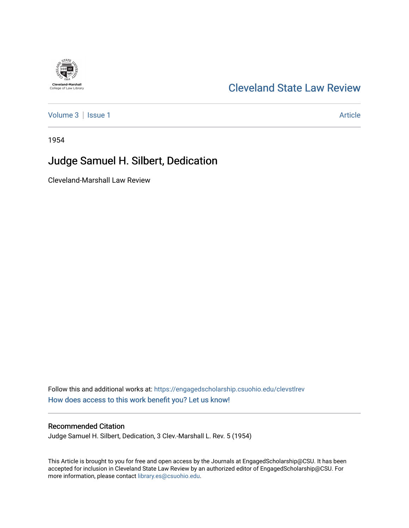# **Cleveland-Marshall**<br>College of Law Library

## [Cleveland State Law Review](https://engagedscholarship.csuohio.edu/clevstlrev)

[Volume 3](https://engagedscholarship.csuohio.edu/clevstlrev/vol3) | [Issue 1](https://engagedscholarship.csuohio.edu/clevstlrev/vol3/iss1) Article

1954

# Judge Samuel H. Silbert, Dedication

Cleveland-Marshall Law Review

Follow this and additional works at: [https://engagedscholarship.csuohio.edu/clevstlrev](https://engagedscholarship.csuohio.edu/clevstlrev?utm_source=engagedscholarship.csuohio.edu%2Fclevstlrev%2Fvol3%2Fiss1%2F3&utm_medium=PDF&utm_campaign=PDFCoverPages) [How does access to this work benefit you? Let us know!](http://library.csuohio.edu/engaged/)

### Recommended Citation

Judge Samuel H. Silbert, Dedication, 3 Clev.-Marshall L. Rev. 5 (1954)

This Article is brought to you for free and open access by the Journals at EngagedScholarship@CSU. It has been accepted for inclusion in Cleveland State Law Review by an authorized editor of EngagedScholarship@CSU. For more information, please contact [library.es@csuohio.edu](mailto:library.es@csuohio.edu).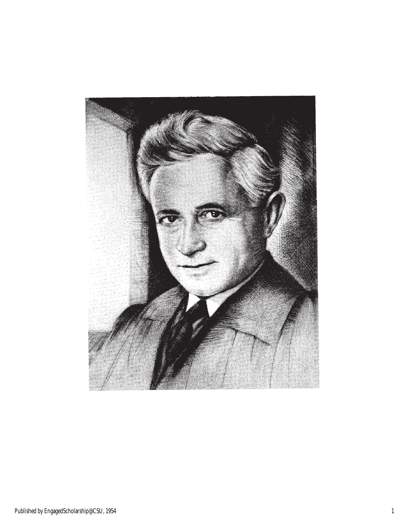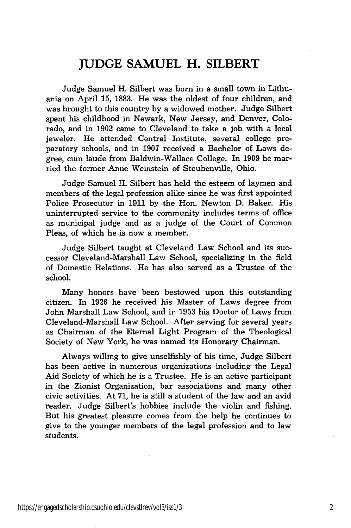## **JUDGE SAMUEL** H. SILBERT

Judge Samuel H. Silbert was born in a small town in Lithuania on April 15, 1883. He was the oldest of four children, and was brought to this country by a widowed mother. Judge Silbert spent his childhood in Newark, New Jersey, and Denver, Colorado, and in 1902 came to Cleveland to take a **job** with a local jeweler. He attended Central Institute, several college preparatory schools, and in 1907 received a Bachelor of Laws degree, cum laude from Baldwin-Wallace College. In 1909 he married the former Anne Weinstein of Steubenville, Ohio.

Judge Samuel H. Silbert has held the esteem of laymen and members of the legal profession alike since he was first appointed Police Prosecutor in 1911 by the Hon. Newton D. Baker. His uninterrupted service to the community includes terms of office as municipal judge and as a judge of the Court of Common Pleas, of which he is now a member.

Judge Silbert taught at Cleveland Law School and its successor Cleveland-Marshall Law School, specializing in the field of Domestic Relations. He has also served as a Trustee of the school.

Many honors have been bestowed upon this outstanding citizen. In 1926 he received his Master of Laws degree from John Marshall Law School, and in 1953 his Doctor of Laws from Cleveland-Marshall Law School. After serving for several years as Chairman of the Eternal Light Program of the Theological Society of New York, he was named its Honorary Chairman.

Always willing to give unselfishly of his time, Judge Silbert has been active in numerous organizations including the Legal Aid Society of which he is a Trustee. He is an active participant in the Zionist Organization, bar associations and many other civic activities. At 71, he is still a student of the law and an avid reader. Judge Silbert's hobbies include the violin and fishing. But his greatest pleasure comes from the help he continues to give to the younger members of the legal profession and to law students.